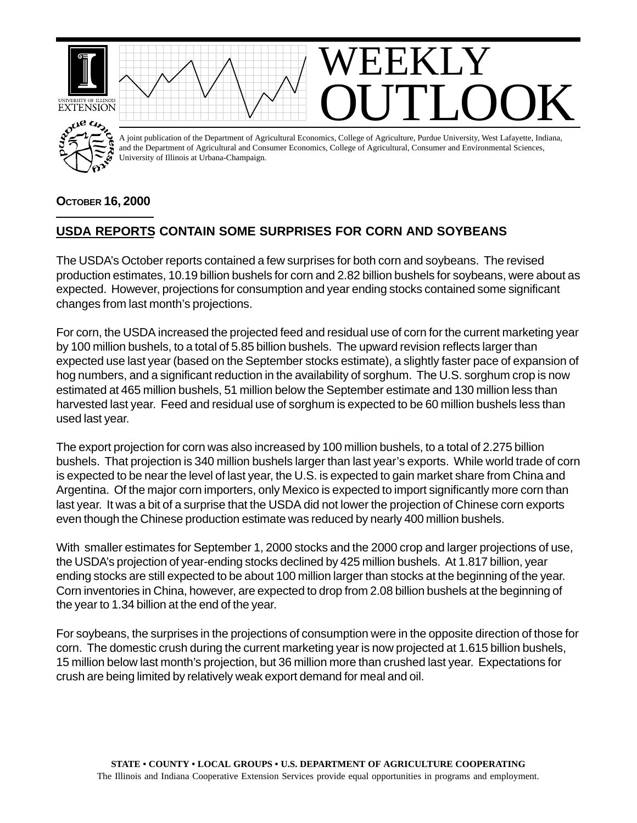

## **OCTOBER 16, 2000**

## **USDA REPORTS CONTAIN SOME SURPRISES FOR CORN AND SOYBEANS**

The USDA's October reports contained a few surprises for both corn and soybeans. The revised production estimates, 10.19 billion bushels for corn and 2.82 billion bushels for soybeans, were about as expected. However, projections for consumption and year ending stocks contained some significant changes from last month's projections.

For corn, the USDA increased the projected feed and residual use of corn for the current marketing year by 100 million bushels, to a total of 5.85 billion bushels. The upward revision reflects larger than expected use last year (based on the September stocks estimate), a slightly faster pace of expansion of hog numbers, and a significant reduction in the availability of sorghum. The U.S. sorghum crop is now estimated at 465 million bushels, 51 million below the September estimate and 130 million less than harvested last year. Feed and residual use of sorghum is expected to be 60 million bushels less than used last year.

The export projection for corn was also increased by 100 million bushels, to a total of 2.275 billion bushels. That projection is 340 million bushels larger than last year's exports. While world trade of corn is expected to be near the level of last year, the U.S. is expected to gain market share from China and Argentina. Of the major corn importers, only Mexico is expected to import significantly more corn than last year. It was a bit of a surprise that the USDA did not lower the projection of Chinese corn exports even though the Chinese production estimate was reduced by nearly 400 million bushels.

With smaller estimates for September 1, 2000 stocks and the 2000 crop and larger projections of use, the USDA's projection of year-ending stocks declined by 425 million bushels. At 1.817 billion, year ending stocks are still expected to be about 100 million larger than stocks at the beginning of the year. Corn inventories in China, however, are expected to drop from 2.08 billion bushels at the beginning of the year to 1.34 billion at the end of the year.

For soybeans, the surprises in the projections of consumption were in the opposite direction of those for corn. The domestic crush during the current marketing year is now projected at 1.615 billion bushels, 15 million below last month's projection, but 36 million more than crushed last year. Expectations for crush are being limited by relatively weak export demand for meal and oil.